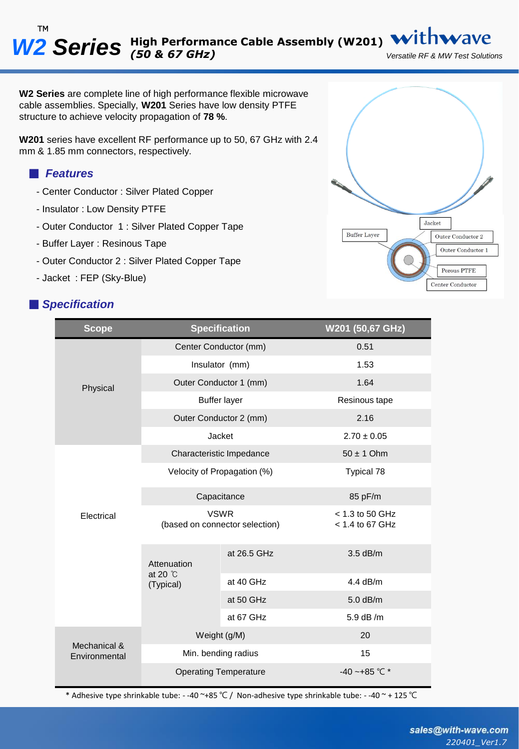**W2 Series** are complete line of high performance flexible microwave cable assemblies. Specially, **W201** Series have low density PTFE structure to achieve velocity propagation of **78 %**.

**W201** series have excellent RF performance up to 50, 67 GHz with 2.4 mm & 1.85 mm connectors, respectively.

### ■ *Features*

- Center Conductor : Silver Plated Copper
- Insulator : Low Density PTFE
- Outer Conductor 1 : Silver Plated Copper Tape
- Buffer Layer : Resinous Tape
- Outer Conductor 2 : Silver Plated Copper Tape
- Jacket : FEP (Sky-Blue)

### ■ *Specification*



| <b>Scope</b>                  |                                               | <b>Specification</b> | W201 (50,67 GHz)                       |
|-------------------------------|-----------------------------------------------|----------------------|----------------------------------------|
| Physical                      | Center Conductor (mm)                         |                      | 0.51                                   |
|                               | Insulator (mm)                                |                      | 1.53                                   |
|                               | Outer Conductor 1 (mm)                        |                      | 1.64                                   |
|                               | <b>Buffer layer</b>                           |                      | Resinous tape                          |
|                               | Outer Conductor 2 (mm)                        |                      | 2.16                                   |
|                               | <b>Jacket</b>                                 |                      | $2.70 \pm 0.05$                        |
| Electrical                    | Characteristic Impedance                      |                      | $50 \pm 1$ Ohm                         |
|                               | Velocity of Propagation (%)                   |                      | Typical 78                             |
|                               | Capacitance                                   |                      | 85 pF/m                                |
|                               | <b>VSWR</b><br>(based on connector selection) |                      | $<$ 1.3 to 50 GHz<br>$< 1.4$ to 67 GHz |
|                               | Attenuation<br>at 20 °C<br>(Typical)          | at 26.5 GHz          | 3.5 dB/m                               |
|                               |                                               | at 40 GHz            | $4.4$ dB/m                             |
|                               |                                               | at 50 GHz            | $5.0$ dB/m                             |
|                               |                                               | at 67 GHz            | 5.9 dB /m                              |
| Mechanical &<br>Environmental | Weight (g/M)                                  |                      | 20                                     |
|                               | Min. bending radius                           |                      | 15                                     |
|                               | <b>Operating Temperature</b>                  |                      | -40 ~+85 °C $*$                        |

\* Adhesive type shrinkable tube: - -40 ~+85 ℃ / Non-adhesive type shrinkable tube: - -40 ~ + 125 ℃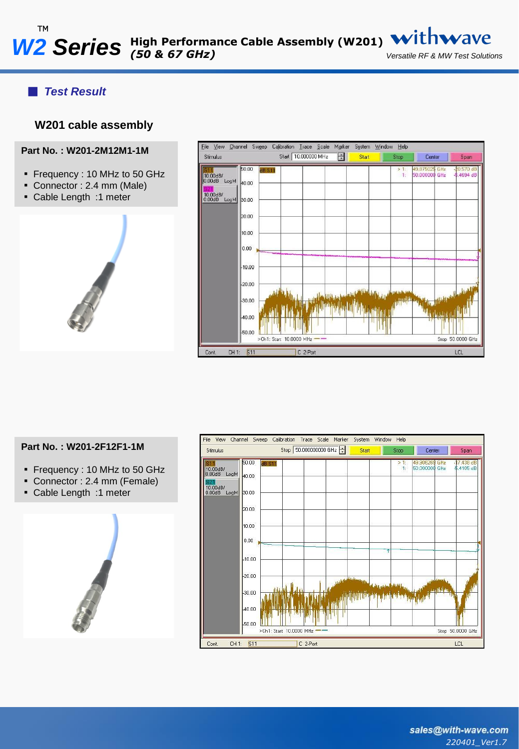## ■ *Test Result*

### **W201 cable assembly**

#### **Part No. : W201-2M12M1-1M**

- Frequency : 10 MHz to 50 GHz
- Connector : 2.4 mm (Male)
- Cable Length :1 meter





#### **Part No. : W201-2F12F1-1M**

- Frequency : 10 MHz to 50 GHz
- Connector : 2.4 mm (Female)
- Cable Length :1 meter



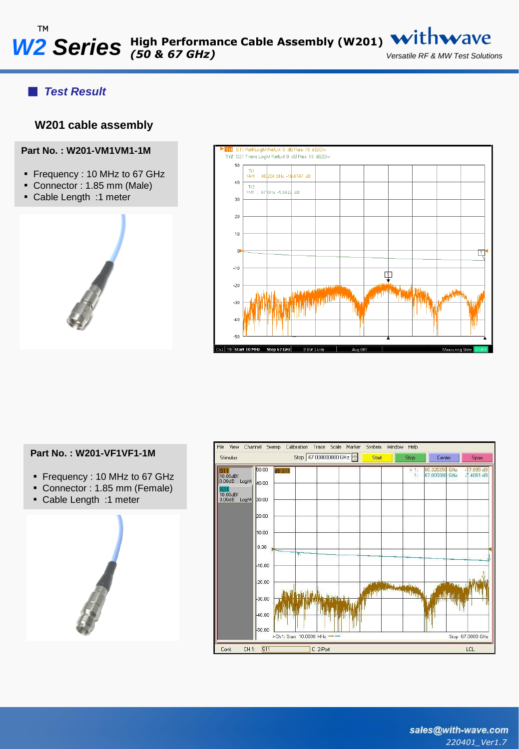# ■ *Test Result*

## **W201 cable assembly**

**Part No. : W201-VM1VM1-1M**

- Frequency : 10 MHz to 67 GHz
- Connector : 1.85 mm (Male)
- Cable Length :1 meter
- 





#### **Part No. : W201-VF1VF1-1M**

- Frequency : 10 MHz to 67 GHz
- Connector : 1.85 mm (Female)
- Cable Length :1 meter



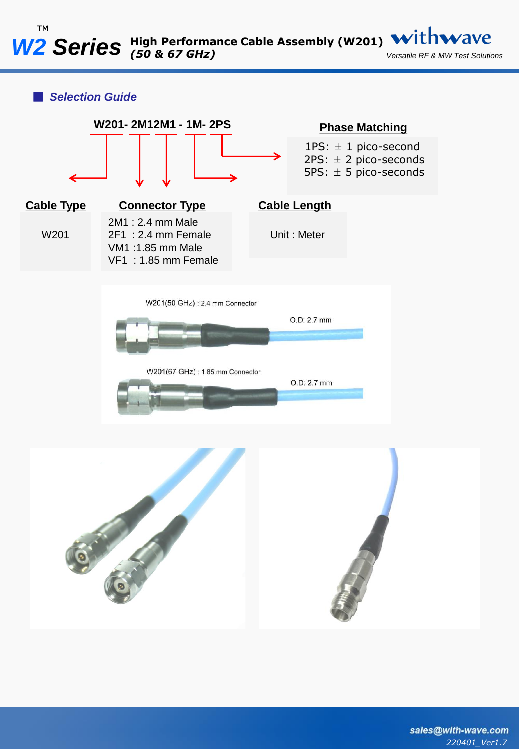